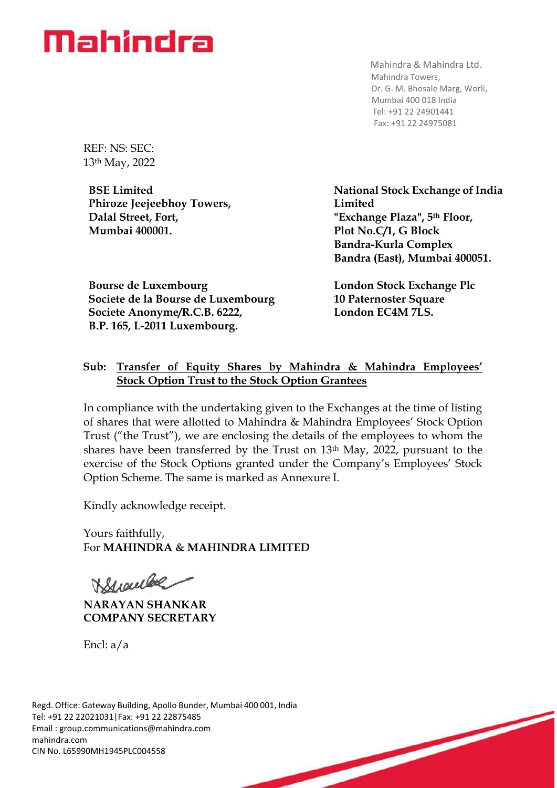

Mahindra & Mahindra Ltd. Mahindra Towers, Dr. G. M. Bhosale Marg, Worli, Mumbai 400 018 India Tel: +91 22 24901441 Fax: +91 22 24975081

REF: NS: SEC: 13th May, 2022

**BSE Limited Phiroze Jeejeebhoy Towers, Dalal Street, Fort, Mumbai 400001.**

**Bourse de Luxembourg Societe de la Bourse de Luxembourg Societe Anonyme/R.C.B. 6222, B.P. 165, L-2011 Luxembourg.**

**National Stock Exchange of India Limited "Exchange Plaza", 5th Floor, Plot No.C/1, G Block Bandra-Kurla Complex Bandra (East), Mumbai 400051.**

**London Stock Exchange Plc 10 Paternoster Square London EC4M 7LS.**

## **Sub: Transfer of Equity Shares by Mahindra & Mahindra Employees' Stock Option Trust to the Stock Option Grantees**

In compliance with the undertaking given to the Exchanges at the time of listing of shares that were allotted to Mahindra & Mahindra Employees' Stock Option Trust ("the Trust"), we are enclosing the details of the employees to whom the shares have been transferred by the Trust on 13th May, 2022, pursuant to the exercise of the Stock Options granted under the Company's Employees' Stock Option Scheme. The same is marked as Annexure I.

Kindly acknowledge receipt.

Yours faithfully, For **MAHINDRA & MAHINDRA LIMITED**

Branche

**NARAYAN SHANKAR COMPANY SECRETARY**

Encl: a/a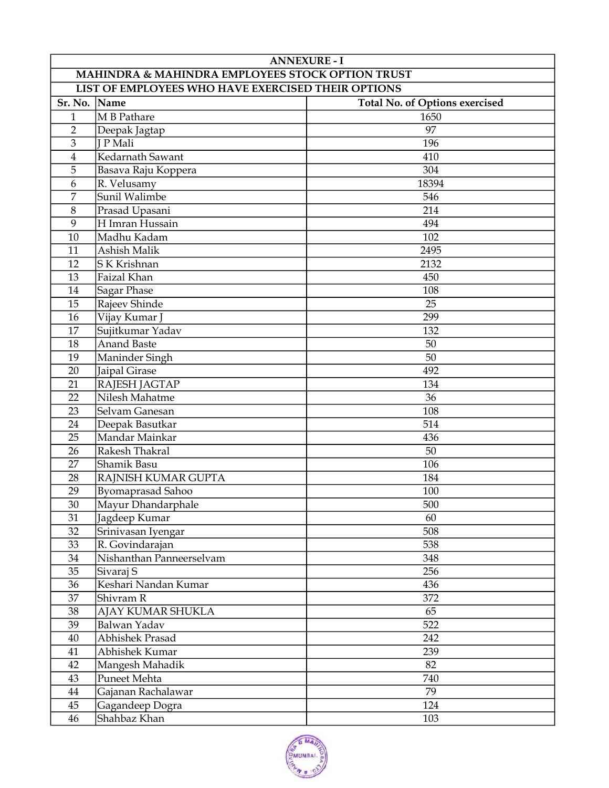|                                                    | <b>ANNEXURE - I</b>      |                                       |  |  |
|----------------------------------------------------|--------------------------|---------------------------------------|--|--|
| MAHINDRA & MAHINDRA EMPLOYEES STOCK OPTION TRUST   |                          |                                       |  |  |
| LIST OF EMPLOYEES WHO HAVE EXERCISED THEIR OPTIONS |                          |                                       |  |  |
| Sr. No.                                            | Name                     | <b>Total No. of Options exercised</b> |  |  |
| $\mathbf{1}$                                       | M B Pathare              | 1650                                  |  |  |
| $\overline{2}$                                     | Deepak Jagtap            | 97                                    |  |  |
| 3                                                  | <b>J</b> P Mali          | 196                                   |  |  |
| $\overline{4}$                                     | Kedarnath Sawant         | 410                                   |  |  |
| 5                                                  | Basava Raju Koppera      | 304                                   |  |  |
| 6                                                  | R. Velusamy              | 18394                                 |  |  |
| $\overline{7}$                                     | Sunil Walimbe            | 546                                   |  |  |
| 8                                                  | Prasad Upasani           | 214                                   |  |  |
| 9                                                  | H Imran Hussain          | 494                                   |  |  |
| 10                                                 | Madhu Kadam              | 102                                   |  |  |
| 11                                                 | Ashish Malik             | 2495                                  |  |  |
| 12                                                 | S K Krishnan             | 2132                                  |  |  |
| 13                                                 | Faizal Khan              | 450                                   |  |  |
| 14                                                 | <b>Sagar Phase</b>       | 108                                   |  |  |
| 15                                                 | Rajeev Shinde            | 25                                    |  |  |
| 16                                                 | Vijay Kumar J            | 299                                   |  |  |
| 17                                                 | Sujitkumar Yadav         | 132                                   |  |  |
| 18                                                 | <b>Anand Baste</b>       | 50                                    |  |  |
| 19                                                 | Maninder Singh           | 50                                    |  |  |
| 20                                                 | Jaipal Girase            | 492                                   |  |  |
| 21                                                 | RAJESH JAGTAP            | 134                                   |  |  |
| 22                                                 | Nilesh Mahatme           | 36                                    |  |  |
| 23                                                 | Selvam Ganesan           | 108                                   |  |  |
| 24                                                 | Deepak Basutkar          | 514                                   |  |  |
| 25                                                 | Mandar Mainkar           | 436                                   |  |  |
| 26                                                 | Rakesh Thakral           | 50                                    |  |  |
| 27                                                 | Shamik Basu              | 106                                   |  |  |
| 28                                                 | RAJNISH KUMAR GUPTA      | 184                                   |  |  |
| 29                                                 | <b>Byomaprasad Sahoo</b> | 100                                   |  |  |
| 30                                                 | Mayur Dhandarphale       | 500                                   |  |  |
| 31                                                 | Jagdeep Kumar            | 60                                    |  |  |
| 32                                                 | Srinivasan Iyengar       | 508                                   |  |  |
| 33                                                 | R. Govindarajan          | 538                                   |  |  |
| 34                                                 | Nishanthan Panneerselvam | 348                                   |  |  |
| 35                                                 | Sivaraj S                | 256                                   |  |  |
| 36                                                 | Keshari Nandan Kumar     | 436                                   |  |  |
| 37                                                 | Shivram R                | 372                                   |  |  |
| 38                                                 | AJAY KUMAR SHUKLA        | 65                                    |  |  |
| 39                                                 | Balwan Yadav             | 522                                   |  |  |
| 40                                                 | <b>Abhishek Prasad</b>   | 242                                   |  |  |
| 41                                                 | Abhishek Kumar           | 239                                   |  |  |
| 42                                                 | Mangesh Mahadik          | 82                                    |  |  |
| 43                                                 | Puneet Mehta             | 740                                   |  |  |
| $44\,$                                             | Gajanan Rachalawar       | 79                                    |  |  |
| 45                                                 | Gagandeep Dogra          | 124                                   |  |  |
| 46                                                 | Shahbaz Khan             | 103                                   |  |  |